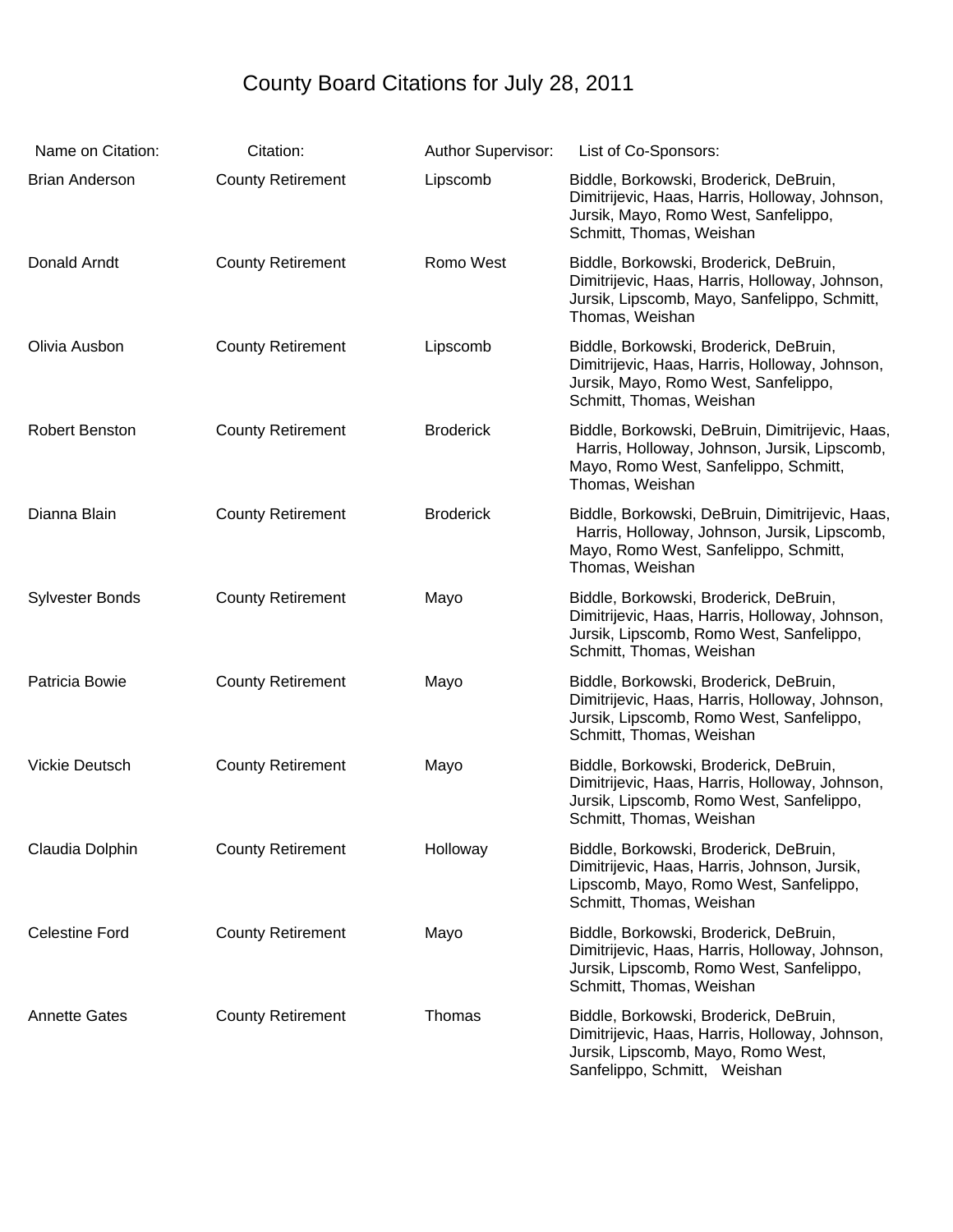## County Board Citations for July 28, 2011

| Name on Citation:      | Citation:                | <b>Author Supervisor:</b> | List of Co-Sponsors:                                                                                                                                             |
|------------------------|--------------------------|---------------------------|------------------------------------------------------------------------------------------------------------------------------------------------------------------|
| <b>Brian Anderson</b>  | <b>County Retirement</b> | Lipscomb                  | Biddle, Borkowski, Broderick, DeBruin,<br>Dimitrijevic, Haas, Harris, Holloway, Johnson,<br>Jursik, Mayo, Romo West, Sanfelippo,<br>Schmitt, Thomas, Weishan     |
| Donald Arndt           | <b>County Retirement</b> | Romo West                 | Biddle, Borkowski, Broderick, DeBruin,<br>Dimitrijevic, Haas, Harris, Holloway, Johnson,<br>Jursik, Lipscomb, Mayo, Sanfelippo, Schmitt,<br>Thomas, Weishan      |
| Olivia Ausbon          | <b>County Retirement</b> | Lipscomb                  | Biddle, Borkowski, Broderick, DeBruin,<br>Dimitrijevic, Haas, Harris, Holloway, Johnson,<br>Jursik, Mayo, Romo West, Sanfelippo,<br>Schmitt, Thomas, Weishan     |
| Robert Benston         | <b>County Retirement</b> | <b>Broderick</b>          | Biddle, Borkowski, DeBruin, Dimitrijevic, Haas,<br>Harris, Holloway, Johnson, Jursik, Lipscomb,<br>Mayo, Romo West, Sanfelippo, Schmitt,<br>Thomas, Weishan      |
| Dianna Blain           | <b>County Retirement</b> | <b>Broderick</b>          | Biddle, Borkowski, DeBruin, Dimitrijevic, Haas,<br>Harris, Holloway, Johnson, Jursik, Lipscomb,<br>Mayo, Romo West, Sanfelippo, Schmitt,<br>Thomas, Weishan      |
| <b>Sylvester Bonds</b> | <b>County Retirement</b> | Mayo                      | Biddle, Borkowski, Broderick, DeBruin,<br>Dimitrijevic, Haas, Harris, Holloway, Johnson,<br>Jursik, Lipscomb, Romo West, Sanfelippo,<br>Schmitt, Thomas, Weishan |
| Patricia Bowie         | <b>County Retirement</b> | Mayo                      | Biddle, Borkowski, Broderick, DeBruin,<br>Dimitrijevic, Haas, Harris, Holloway, Johnson,<br>Jursik, Lipscomb, Romo West, Sanfelippo,<br>Schmitt, Thomas, Weishan |
| Vickie Deutsch         | <b>County Retirement</b> | Mayo                      | Biddle, Borkowski, Broderick, DeBruin,<br>Dimitrijevic, Haas, Harris, Holloway, Johnson,<br>Jursik, Lipscomb, Romo West, Sanfelippo,<br>Schmitt, Thomas, Weishan |
| Claudia Dolphin        | <b>County Retirement</b> | Holloway                  | Biddle, Borkowski, Broderick, DeBruin,<br>Dimitrijevic, Haas, Harris, Johnson, Jursik,<br>Lipscomb, Mayo, Romo West, Sanfelippo,<br>Schmitt, Thomas, Weishan     |
| <b>Celestine Ford</b>  | <b>County Retirement</b> | Mayo                      | Biddle, Borkowski, Broderick, DeBruin,<br>Dimitrijevic, Haas, Harris, Holloway, Johnson,<br>Jursik, Lipscomb, Romo West, Sanfelippo,<br>Schmitt, Thomas, Weishan |
| <b>Annette Gates</b>   | <b>County Retirement</b> | Thomas                    | Biddle, Borkowski, Broderick, DeBruin,<br>Dimitrijevic, Haas, Harris, Holloway, Johnson,<br>Jursik, Lipscomb, Mayo, Romo West,<br>Sanfelippo, Schmitt, Weishan   |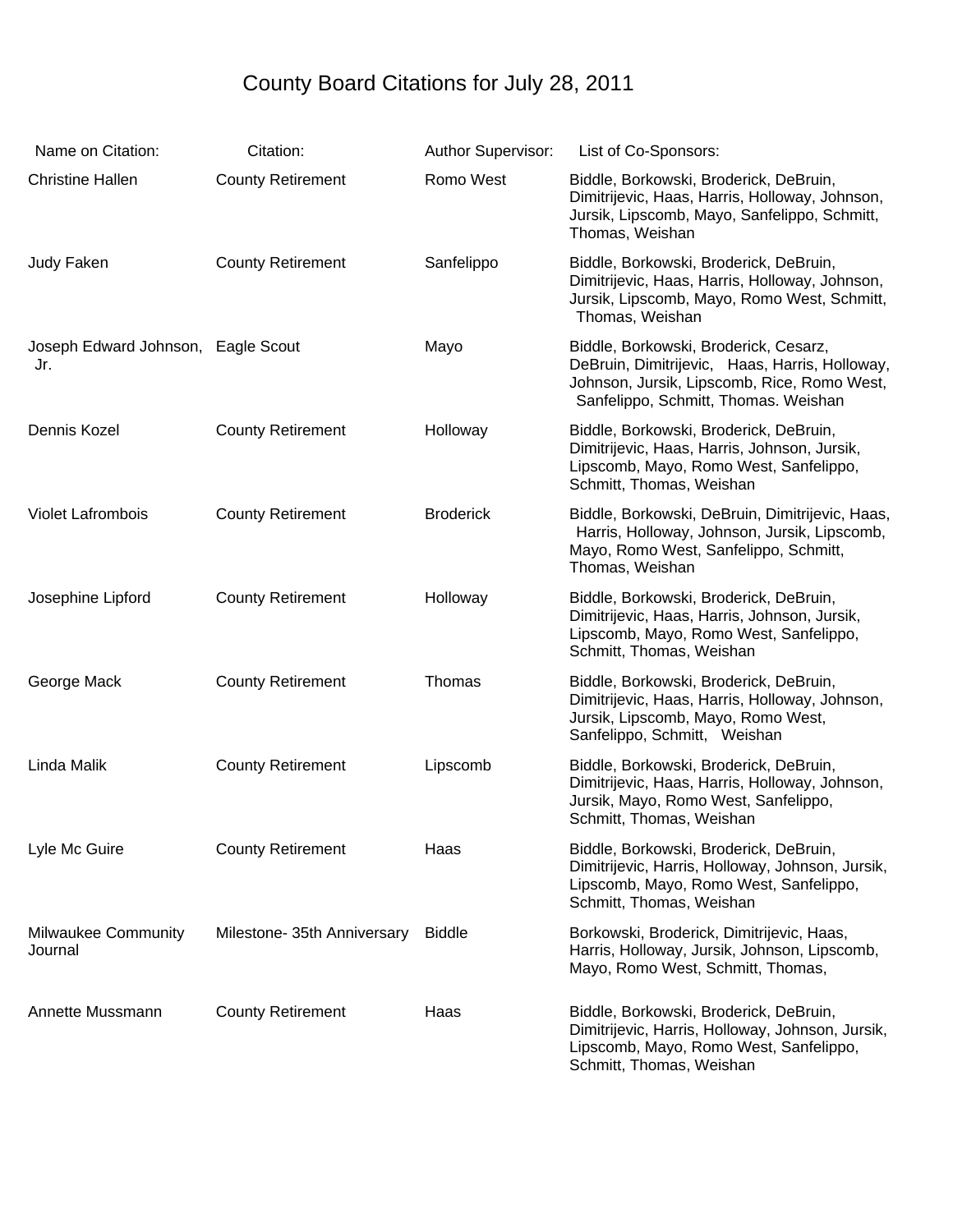## County Board Citations for July 28, 2011

| Name on Citation:                         | Citation:                   | <b>Author Supervisor:</b> | List of Co-Sponsors:                                                                                                                                                           |
|-------------------------------------------|-----------------------------|---------------------------|--------------------------------------------------------------------------------------------------------------------------------------------------------------------------------|
| <b>Christine Hallen</b>                   | <b>County Retirement</b>    | Romo West                 | Biddle, Borkowski, Broderick, DeBruin,<br>Dimitrijevic, Haas, Harris, Holloway, Johnson,<br>Jursik, Lipscomb, Mayo, Sanfelippo, Schmitt,<br>Thomas, Weishan                    |
| Judy Faken                                | <b>County Retirement</b>    | Sanfelippo                | Biddle, Borkowski, Broderick, DeBruin,<br>Dimitrijevic, Haas, Harris, Holloway, Johnson,<br>Jursik, Lipscomb, Mayo, Romo West, Schmitt,<br>Thomas, Weishan                     |
| Joseph Edward Johnson, Eagle Scout<br>Jr. |                             | Mayo                      | Biddle, Borkowski, Broderick, Cesarz,<br>DeBruin, Dimitrijevic, Haas, Harris, Holloway,<br>Johnson, Jursik, Lipscomb, Rice, Romo West,<br>Sanfelippo, Schmitt, Thomas. Weishan |
| Dennis Kozel                              | <b>County Retirement</b>    | Holloway                  | Biddle, Borkowski, Broderick, DeBruin,<br>Dimitrijevic, Haas, Harris, Johnson, Jursik,<br>Lipscomb, Mayo, Romo West, Sanfelippo,<br>Schmitt, Thomas, Weishan                   |
| <b>Violet Lafrombois</b>                  | <b>County Retirement</b>    | <b>Broderick</b>          | Biddle, Borkowski, DeBruin, Dimitrijevic, Haas,<br>Harris, Holloway, Johnson, Jursik, Lipscomb,<br>Mayo, Romo West, Sanfelippo, Schmitt,<br>Thomas, Weishan                    |
| Josephine Lipford                         | <b>County Retirement</b>    | Holloway                  | Biddle, Borkowski, Broderick, DeBruin,<br>Dimitrijevic, Haas, Harris, Johnson, Jursik,<br>Lipscomb, Mayo, Romo West, Sanfelippo,<br>Schmitt, Thomas, Weishan                   |
| George Mack                               | <b>County Retirement</b>    | Thomas                    | Biddle, Borkowski, Broderick, DeBruin,<br>Dimitrijevic, Haas, Harris, Holloway, Johnson,<br>Jursik, Lipscomb, Mayo, Romo West,<br>Sanfelippo, Schmitt, Weishan                 |
| Linda Malik                               | <b>County Retirement</b>    | Lipscomb                  | Biddle, Borkowski, Broderick, DeBruin,<br>Dimitrijevic, Haas, Harris, Holloway, Johnson,<br>Jursik, Mayo, Romo West, Sanfelippo,<br>Schmitt, Thomas, Weishan                   |
| Lyle Mc Guire                             | <b>County Retirement</b>    | Haas                      | Biddle, Borkowski, Broderick, DeBruin,<br>Dimitrijevic, Harris, Holloway, Johnson, Jursik,<br>Lipscomb, Mayo, Romo West, Sanfelippo,<br>Schmitt, Thomas, Weishan               |
| <b>Milwaukee Community</b><br>Journal     | Milestone- 35th Anniversary | <b>Biddle</b>             | Borkowski, Broderick, Dimitrijevic, Haas,<br>Harris, Holloway, Jursik, Johnson, Lipscomb,<br>Mayo, Romo West, Schmitt, Thomas,                                                 |
| Annette Mussmann                          | <b>County Retirement</b>    | Haas                      | Biddle, Borkowski, Broderick, DeBruin,<br>Dimitrijevic, Harris, Holloway, Johnson, Jursik,<br>Lipscomb, Mayo, Romo West, Sanfelippo,<br>Schmitt, Thomas, Weishan               |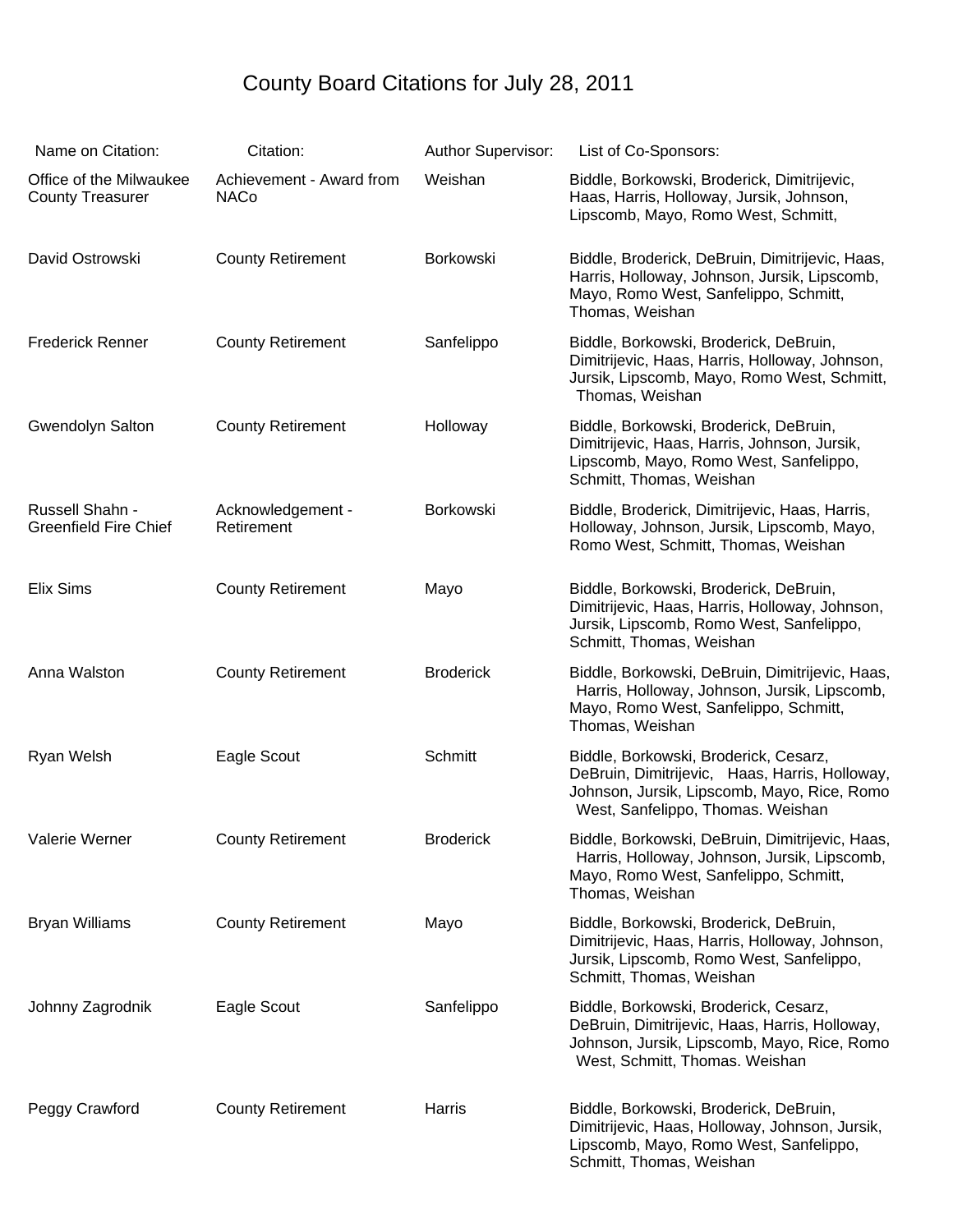## County Board Citations for July 28, 2011

| Name on Citation:                                  | Citation:                               | Author Supervisor: | List of Co-Sponsors:                                                                                                                                                        |
|----------------------------------------------------|-----------------------------------------|--------------------|-----------------------------------------------------------------------------------------------------------------------------------------------------------------------------|
| Office of the Milwaukee<br><b>County Treasurer</b> | Achievement - Award from<br><b>NACo</b> | Weishan            | Biddle, Borkowski, Broderick, Dimitrijevic,<br>Haas, Harris, Holloway, Jursik, Johnson,<br>Lipscomb, Mayo, Romo West, Schmitt,                                              |
| David Ostrowski                                    | <b>County Retirement</b>                | Borkowski          | Biddle, Broderick, DeBruin, Dimitrijevic, Haas,<br>Harris, Holloway, Johnson, Jursik, Lipscomb,<br>Mayo, Romo West, Sanfelippo, Schmitt,<br>Thomas, Weishan                 |
| <b>Frederick Renner</b>                            | <b>County Retirement</b>                | Sanfelippo         | Biddle, Borkowski, Broderick, DeBruin,<br>Dimitrijevic, Haas, Harris, Holloway, Johnson,<br>Jursik, Lipscomb, Mayo, Romo West, Schmitt,<br>Thomas, Weishan                  |
| Gwendolyn Salton                                   | <b>County Retirement</b>                | Holloway           | Biddle, Borkowski, Broderick, DeBruin,<br>Dimitrijevic, Haas, Harris, Johnson, Jursik,<br>Lipscomb, Mayo, Romo West, Sanfelippo,<br>Schmitt, Thomas, Weishan                |
| Russell Shahn -<br><b>Greenfield Fire Chief</b>    | Acknowledgement -<br>Retirement         | Borkowski          | Biddle, Broderick, Dimitrijevic, Haas, Harris,<br>Holloway, Johnson, Jursik, Lipscomb, Mayo,<br>Romo West, Schmitt, Thomas, Weishan                                         |
| Elix Sims                                          | <b>County Retirement</b>                | Mayo               | Biddle, Borkowski, Broderick, DeBruin,<br>Dimitrijevic, Haas, Harris, Holloway, Johnson,<br>Jursik, Lipscomb, Romo West, Sanfelippo,<br>Schmitt, Thomas, Weishan            |
| Anna Walston                                       | <b>County Retirement</b>                | <b>Broderick</b>   | Biddle, Borkowski, DeBruin, Dimitrijevic, Haas,<br>Harris, Holloway, Johnson, Jursik, Lipscomb,<br>Mayo, Romo West, Sanfelippo, Schmitt,<br>Thomas, Weishan                 |
| Ryan Welsh                                         | Eagle Scout                             | Schmitt            | Biddle, Borkowski, Broderick, Cesarz,<br>DeBruin, Dimitrijevic, Haas, Harris, Holloway,<br>Johnson, Jursik, Lipscomb, Mayo, Rice, Romo<br>West, Sanfelippo, Thomas. Weishan |
| Valerie Werner                                     | <b>County Retirement</b>                | <b>Broderick</b>   | Biddle, Borkowski, DeBruin, Dimitrijevic, Haas,<br>Harris, Holloway, Johnson, Jursik, Lipscomb,<br>Mayo, Romo West, Sanfelippo, Schmitt,<br>Thomas, Weishan                 |
| <b>Bryan Williams</b>                              | <b>County Retirement</b>                | Mayo               | Biddle, Borkowski, Broderick, DeBruin,<br>Dimitrijevic, Haas, Harris, Holloway, Johnson,<br>Jursik, Lipscomb, Romo West, Sanfelippo,<br>Schmitt, Thomas, Weishan            |
| Johnny Zagrodnik                                   | Eagle Scout                             | Sanfelippo         | Biddle, Borkowski, Broderick, Cesarz,<br>DeBruin, Dimitrijevic, Haas, Harris, Holloway,<br>Johnson, Jursik, Lipscomb, Mayo, Rice, Romo<br>West, Schmitt, Thomas. Weishan    |
| Peggy Crawford                                     | <b>County Retirement</b>                | Harris             | Biddle, Borkowski, Broderick, DeBruin,<br>Dimitrijevic, Haas, Holloway, Johnson, Jursik,<br>Lipscomb, Mayo, Romo West, Sanfelippo,<br>Schmitt, Thomas, Weishan              |